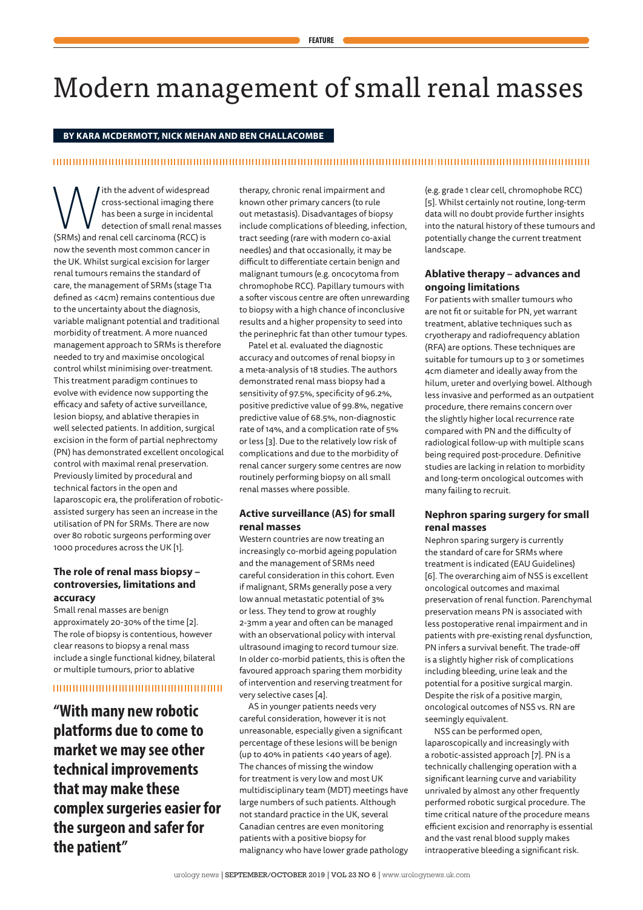# Modern management of small renal masses

# **BY KARA MCDERMOTT, NICK MEHAN AND BEN CHALLACOMBE**

# 

**Multimerador Accord Synch** cross-sectional imaging there has been a surge in incidenta<br>detection of small renal mass<br>(SRMs) and renal cell carcinoma (RCC) is cross-sectional imaging there has been a surge in incidental detection of small renal masses now the seventh most common cancer in the UK. Whilst surgical excision for larger renal tumours remains the standard of care, the management of SRMs (stage T1a defined as <4cm) remains contentious due to the uncertainty about the diagnosis, variable malignant potential and traditional morbidity of treatment. A more nuanced management approach to SRMs is therefore needed to try and maximise oncological control whilst minimising over-treatment. This treatment paradigm continues to evolve with evidence now supporting the efficacy and safety of active surveillance, lesion biopsy, and ablative therapies in well selected patients. In addition, surgical excision in the form of partial nephrectomy (PN) has demonstrated excellent oncological control with maximal renal preservation. Previously limited by procedural and technical factors in the open and laparoscopic era, the proliferation of roboticassisted surgery has seen an increase in the utilisation of PN for SRMs. There are now over 80 robotic surgeons performing over 1000 procedures across the UK [1].

# **The role of renal mass biopsy – controversies, limitations and accuracy**

Small renal masses are benign approximately 20-30% of the time [2]. The role of biopsy is contentious, however clear reasons to biopsy a renal mass include a single functional kidney, bilateral or multiple tumours, prior to ablative

# 

**"With many new robotic platforms due to come to market we may see other technical improvements that may make these complex surgeries easier for the surgeon and safer for the patient"**

therapy, chronic renal impairment and known other primary cancers (to rule out metastasis). Disadvantages of biopsy include complications of bleeding, infection, tract seeding (rare with modern co-axial needles) and that occasionally, it may be difficult to differentiate certain benign and malignant tumours (e.g. oncocytoma from chromophobe RCC). Papillary tumours with a softer viscous centre are often unrewarding to biopsy with a high chance of inconclusive results and a higher propensity to seed into the perinephric fat than other tumour types.

Patel et al. evaluated the diagnostic accuracy and outcomes of renal biopsy in a meta-analysis of 18 studies. The authors demonstrated renal mass biopsy had a sensitivity of 97.5%, specificity of 96.2%, positive predictive value of 99.8%, negative predictive value of 68.5%, non-diagnostic rate of 14%, and a complication rate of 5% or less [3]. Due to the relatively low risk of complications and due to the morbidity of renal cancer surgery some centres are now routinely performing biopsy on all small renal masses where possible.

# **Active surveillance (AS) for small renal masses**

Western countries are now treating an increasingly co-morbid ageing population and the management of SRMs need careful consideration in this cohort. Even if malignant, SRMs generally pose a very low annual metastatic potential of 3% or less. They tend to grow at roughly 2-3mm a year and often can be managed with an observational policy with interval ultrasound imaging to record tumour size. In older co-morbid patients, this is often the favoured approach sparing them morbidity of intervention and reserving treatment for very selective cases [4].

AS in younger patients needs very careful consideration, however it is not unreasonable, especially given a significant percentage of these lesions will be benign (up to 40% in patients <40 years of age). The chances of missing the window for treatment is very low and most UK multidisciplinary team (MDT) meetings have large numbers of such patients. Although not standard practice in the UK, several Canadian centres are even monitoring patients with a positive biopsy for malignancy who have lower grade pathology (e.g. grade 1 clear cell, chromophobe RCC) [5]. Whilst certainly not routine, long-term data will no doubt provide further insights into the natural history of these tumours and potentially change the current treatment landscape.

# **Ablative therapy – advances and ongoing limitations**

For patients with smaller tumours who are not fit or suitable for PN, yet warrant treatment, ablative techniques such as cryotherapy and radiofrequency ablation (RFA) are options. These techniques are suitable for tumours up to 3 or sometimes 4cm diameter and ideally away from the hilum, ureter and overlying bowel. Although less invasive and performed as an outpatient procedure, there remains concern over the slightly higher local recurrence rate compared with PN and the difficulty of radiological follow-up with multiple scans being required post-procedure. Definitive studies are lacking in relation to morbidity and long-term oncological outcomes with many failing to recruit.

# **Nephron sparing surgery for small renal masses**

Nephron sparing surgery is currently the standard of care for SRMs where treatment is indicated (EAU Guidelines) [6]. The overarching aim of NSS is excellent oncological outcomes and maximal preservation of renal function. Parenchymal preservation means PN is associated with less postoperative renal impairment and in patients with pre-existing renal dysfunction, PN infers a survival benefit. The trade-off is a slightly higher risk of complications including bleeding, urine leak and the potential for a positive surgical margin. Despite the risk of a positive margin, oncological outcomes of NSS vs. RN are seemingly equivalent.

NSS can be performed open, laparoscopically and increasingly with a robotic-assisted approach [7]. PN is a technically challenging operation with a significant learning curve and variability unrivaled by almost any other frequently performed robotic surgical procedure. The time critical nature of the procedure means efficient excision and renorraphy is essential and the vast renal blood supply makes intraoperative bleeding a significant risk.